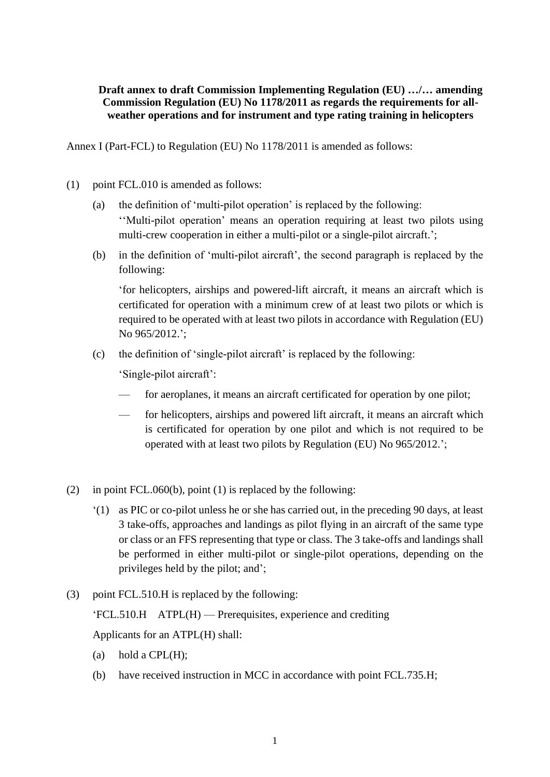## **Draft annex to draft Commission Implementing Regulation (EU) …/… amending Commission Regulation (EU) No 1178/2011 as regards the requirements for allweather operations and for instrument and type rating training in helicopters**

Annex I (Part-FCL) to Regulation (EU) No 1178/2011 is amended as follows:

- (1) point FCL.010 is amended as follows:
	- (a) the definition of 'multi-pilot operation' is replaced by the following: ''Multi-pilot operation' means an operation requiring at least two pilots using multi-crew cooperation in either a multi-pilot or a single-pilot aircraft.';
	- (b) in the definition of 'multi-pilot aircraft', the second paragraph is replaced by the following:

'for helicopters, airships and powered-lift aircraft, it means an aircraft which is certificated for operation with a minimum crew of at least two pilots or which is required to be operated with at least two pilots in accordance with Regulation (EU) No 965/2012.';

(c) the definition of 'single-pilot aircraft' is replaced by the following:

'Single-pilot aircraft':

- for aeroplanes, it means an aircraft certificated for operation by one pilot;
- for helicopters, airships and powered lift aircraft, it means an aircraft which is certificated for operation by one pilot and which is not required to be operated with at least two pilots by Regulation (EU) No 965/2012.';
- (2) in point FCL.060(b), point (1) is replaced by the following:
	- '(1) as PIC or co-pilot unless he or she has carried out, in the preceding 90 days, at least 3 take-offs, approaches and landings as pilot flying in an aircraft of the same type or class or an FFS representing that type or class. The 3 take-offs and landings shall be performed in either multi-pilot or single-pilot operations, depending on the privileges held by the pilot; and';
- (3) point FCL.510.H is replaced by the following:

'FCL.510.H ATPL(H) — Prerequisites, experience and crediting

Applicants for an ATPL(H) shall:

- (a) hold a  $CPL(H)$ ;
- (b) have received instruction in MCC in accordance with point FCL.735.H;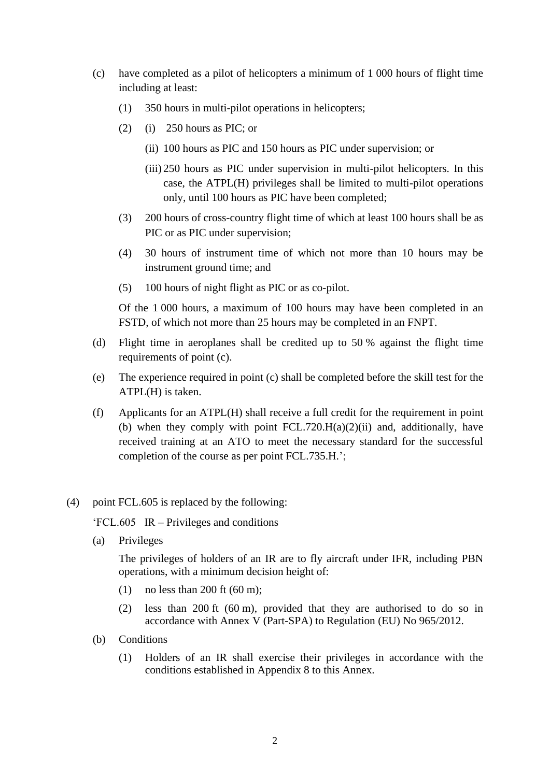- (c) have completed as a pilot of helicopters a minimum of 1 000 hours of flight time including at least:
	- (1) 350 hours in multi-pilot operations in helicopters;
	- $(2)$  (i) 250 hours as PIC; or
		- (ii) 100 hours as PIC and 150 hours as PIC under supervision; or
		- (iii) 250 hours as PIC under supervision in multi-pilot helicopters. In this case, the ATPL(H) privileges shall be limited to multi-pilot operations only, until 100 hours as PIC have been completed;
	- (3) 200 hours of cross-country flight time of which at least 100 hours shall be as PIC or as PIC under supervision;
	- (4) 30 hours of instrument time of which not more than 10 hours may be instrument ground time; and
	- (5) 100 hours of night flight as PIC or as co-pilot.

Of the 1 000 hours, a maximum of 100 hours may have been completed in an FSTD, of which not more than 25 hours may be completed in an FNPT.

- (d) Flight time in aeroplanes shall be credited up to 50 % against the flight time requirements of point (c).
- (e) The experience required in point (c) shall be completed before the skill test for the ATPL(H) is taken.
- (f) Applicants for an ATPL(H) shall receive a full credit for the requirement in point (b) when they comply with point  $FCL.720.H(a)(2)(ii)$  and, additionally, have received training at an ATO to meet the necessary standard for the successful completion of the course as per point FCL.735.H.';
- (4) point FCL.605 is replaced by the following:

'FCL.605 IR – Privileges and conditions

(a) Privileges

The privileges of holders of an IR are to fly aircraft under IFR, including PBN operations, with a minimum decision height of:

- (1) no less than 200 ft  $(60 \text{ m})$ ;
- (2) less than 200 ft (60 m), provided that they are authorised to do so in accordance with Annex V (Part-SPA) to Regulation (EU) No 965/2012.
- (b) Conditions
	- (1) Holders of an IR shall exercise their privileges in accordance with the conditions established in Appendix 8 to this Annex.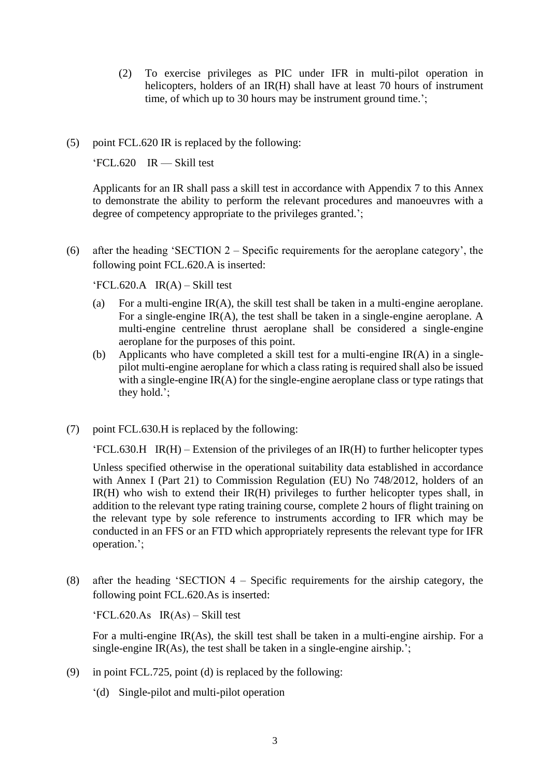- (2) To exercise privileges as PIC under IFR in multi-pilot operation in helicopters, holders of an IR(H) shall have at least 70 hours of instrument time, of which up to 30 hours may be instrument ground time.';
- (5) point FCL.620 IR is replaced by the following:

'FCL.620 IR — Skill test

Applicants for an IR shall pass a skill test in accordance with Appendix 7 to this Annex to demonstrate the ability to perform the relevant procedures and manoeuvres with a degree of competency appropriate to the privileges granted.';

(6) after the heading 'SECTION 2 – Specific requirements for the aeroplane category', the following point FCL.620.A is inserted:

 $FCL.620.A$   $IR(A) - Skill test$ 

- (a) For a multi-engine IR(A), the skill test shall be taken in a multi-engine aeroplane. For a single-engine IR(A), the test shall be taken in a single-engine aeroplane. A multi-engine centreline thrust aeroplane shall be considered a single-engine aeroplane for the purposes of this point.
- (b) Applicants who have completed a skill test for a multi-engine IR(A) in a singlepilot multi-engine aeroplane for which a class rating is required shall also be issued with a single-engine  $IR(A)$  for the single-engine aeroplane class or type ratings that they hold.';
- (7) point FCL.630.H is replaced by the following:

 $'FCL.630.H$  IR(H) – Extension of the privileges of an IR(H) to further helicopter types

Unless specified otherwise in the operational suitability data established in accordance with Annex I (Part 21) to Commission Regulation (EU) No 748/2012, holders of an  $IR(H)$  who wish to extend their  $IR(H)$  privileges to further helicopter types shall, in addition to the relevant type rating training course, complete 2 hours of flight training on the relevant type by sole reference to instruments according to IFR which may be conducted in an FFS or an FTD which appropriately represents the relevant type for IFR operation.';

(8) after the heading 'SECTION 4 – Specific requirements for the airship category, the following point FCL.620.As is inserted:

 $\text{FCL}.620.As$  IR(As) – Skill test

For a multi-engine IR(As), the skill test shall be taken in a multi-engine airship. For a single-engine IR(As), the test shall be taken in a single-engine airship.';

- (9) in point FCL.725, point (d) is replaced by the following:
	- '(d) Single-pilot and multi-pilot operation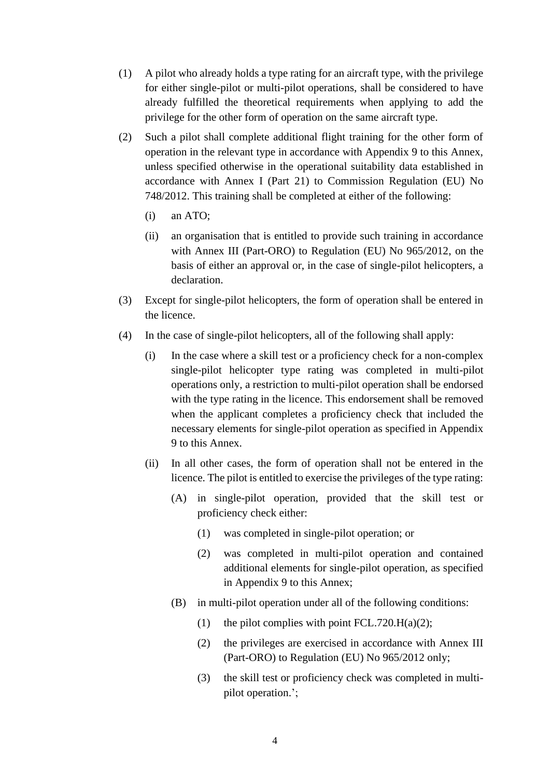- (1) A pilot who already holds a type rating for an aircraft type, with the privilege for either single-pilot or multi-pilot operations, shall be considered to have already fulfilled the theoretical requirements when applying to add the privilege for the other form of operation on the same aircraft type.
- (2) Such a pilot shall complete additional flight training for the other form of operation in the relevant type in accordance with Appendix 9 to this Annex, unless specified otherwise in the operational suitability data established in accordance with Annex I (Part 21) to Commission Regulation (EU) No 748/2012. This training shall be completed at either of the following:
	- (i) an ATO;
	- (ii) an organisation that is entitled to provide such training in accordance with Annex III (Part-ORO) to Regulation (EU) No 965/2012, on the basis of either an approval or, in the case of single-pilot helicopters, a declaration.
- (3) Except for single-pilot helicopters, the form of operation shall be entered in the licence.
- (4) In the case of single-pilot helicopters, all of the following shall apply:
	- (i) In the case where a skill test or a proficiency check for a non-complex single-pilot helicopter type rating was completed in multi-pilot operations only, a restriction to multi-pilot operation shall be endorsed with the type rating in the licence. This endorsement shall be removed when the applicant completes a proficiency check that included the necessary elements for single-pilot operation as specified in Appendix 9 to this Annex.
	- (ii) In all other cases, the form of operation shall not be entered in the licence. The pilot is entitled to exercise the privileges of the type rating:
		- (A) in single-pilot operation, provided that the skill test or proficiency check either:
			- (1) was completed in single-pilot operation; or
			- (2) was completed in multi-pilot operation and contained additional elements for single-pilot operation, as specified in Appendix 9 to this Annex;
		- (B) in multi-pilot operation under all of the following conditions:
			- (1) the pilot complies with point FCL.720.H(a)(2);
			- (2) the privileges are exercised in accordance with Annex III (Part-ORO) to Regulation (EU) No 965/2012 only;
			- (3) the skill test or proficiency check was completed in multipilot operation.';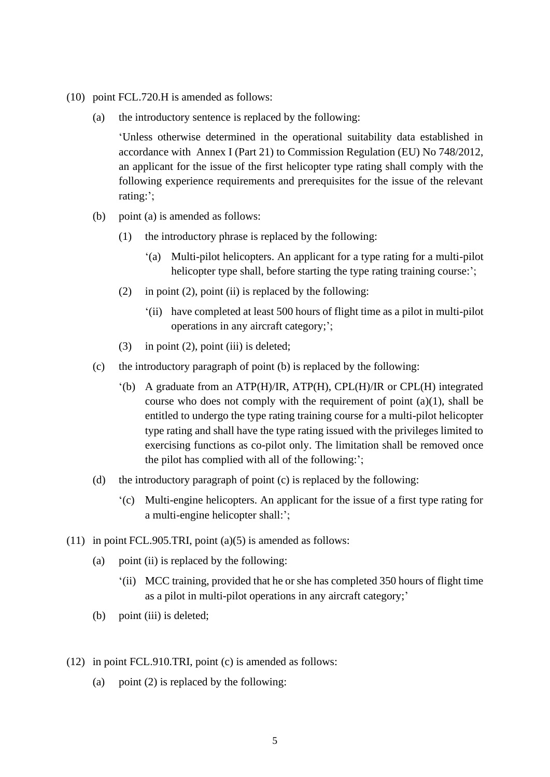- (10) point FCL.720.H is amended as follows:
	- (a) the introductory sentence is replaced by the following:

'Unless otherwise determined in the operational suitability data established in accordance with Annex I (Part 21) to Commission Regulation (EU) No 748/2012, an applicant for the issue of the first helicopter type rating shall comply with the following experience requirements and prerequisites for the issue of the relevant rating:';

- (b) point (a) is amended as follows:
	- (1) the introductory phrase is replaced by the following:
		- '(a) Multi-pilot helicopters. An applicant for a type rating for a multi-pilot helicopter type shall, before starting the type rating training course:';
	- (2) in point (2), point (ii) is replaced by the following:
		- '(ii) have completed at least 500 hours of flight time as a pilot in multi-pilot operations in any aircraft category;';
	- (3) in point (2), point (iii) is deleted;
- (c) the introductory paragraph of point (b) is replaced by the following:
	- '(b) A graduate from an ATP(H)/IR, ATP(H), CPL(H)/IR or CPL(H) integrated course who does not comply with the requirement of point  $(a)(1)$ , shall be entitled to undergo the type rating training course for a multi-pilot helicopter type rating and shall have the type rating issued with the privileges limited to exercising functions as co-pilot only. The limitation shall be removed once the pilot has complied with all of the following:';
- (d) the introductory paragraph of point (c) is replaced by the following:
	- '(c) Multi-engine helicopters. An applicant for the issue of a first type rating for a multi-engine helicopter shall:';
- (11) in point FCL.905.TRI, point  $(a)(5)$  is amended as follows:
	- (a) point (ii) is replaced by the following:
		- '(ii) MCC training, provided that he or she has completed 350 hours of flight time as a pilot in multi-pilot operations in any aircraft category;'
	- (b) point (iii) is deleted;
- (12) in point FCL.910.TRI, point (c) is amended as follows:
	- (a) point  $(2)$  is replaced by the following: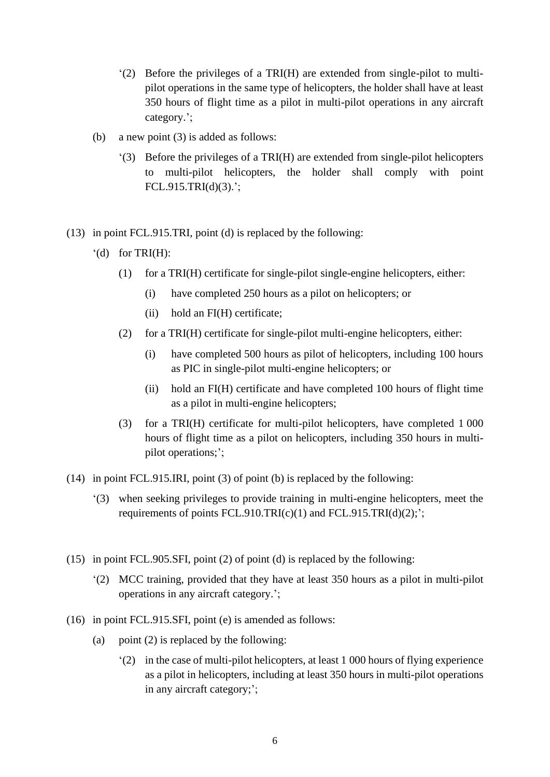- '(2) Before the privileges of a TRI(H) are extended from single-pilot to multipilot operations in the same type of helicopters, the holder shall have at least 350 hours of flight time as a pilot in multi-pilot operations in any aircraft category.';
- (b) a new point (3) is added as follows:
	- '(3) Before the privileges of a TRI(H) are extended from single-pilot helicopters to multi-pilot helicopters, the holder shall comply with point FCL.915.TRI(d)(3).';
- (13) in point FCL.915.TRI, point (d) is replaced by the following:
	- $'(d)$  for TRI(H):
		- (1) for a TRI(H) certificate for single-pilot single-engine helicopters, either:
			- (i) have completed 250 hours as a pilot on helicopters; or
			- (ii) hold an FI(H) certificate;
		- (2) for a TRI(H) certificate for single-pilot multi-engine helicopters, either:
			- (i) have completed 500 hours as pilot of helicopters, including 100 hours as PIC in single-pilot multi-engine helicopters; or
			- (ii) hold an FI(H) certificate and have completed 100 hours of flight time as a pilot in multi-engine helicopters;
		- (3) for a TRI(H) certificate for multi-pilot helicopters, have completed 1 000 hours of flight time as a pilot on helicopters, including 350 hours in multipilot operations;';
- (14) in point FCL.915.IRI, point (3) of point (b) is replaced by the following:
	- '(3) when seeking privileges to provide training in multi-engine helicopters, meet the requirements of points  $FCL.910.TRI(c)(1)$  and  $FCL.915.TRI(d)(2);$
- (15) in point FCL.905.SFI, point (2) of point (d) is replaced by the following:
	- '(2) MCC training, provided that they have at least 350 hours as a pilot in multi-pilot operations in any aircraft category.';
- (16) in point FCL.915.SFI, point (e) is amended as follows:
	- (a) point (2) is replaced by the following:
		- '(2) in the case of multi-pilot helicopters, at least 1 000 hours of flying experience as a pilot in helicopters, including at least 350 hours in multi-pilot operations in any aircraft category;';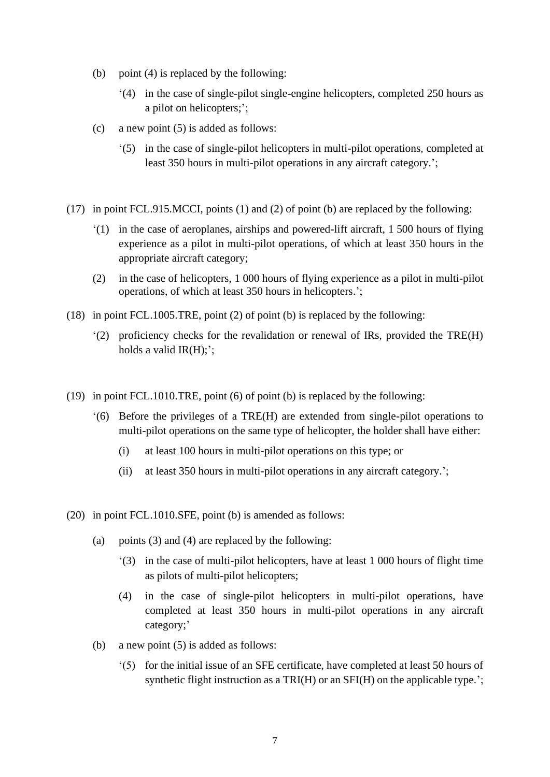- (b) point (4) is replaced by the following:
	- '(4) in the case of single-pilot single-engine helicopters, completed 250 hours as a pilot on helicopters;';
- (c) a new point (5) is added as follows:
	- '(5) in the case of single-pilot helicopters in multi-pilot operations, completed at least 350 hours in multi-pilot operations in any aircraft category.';
- (17) in point FCL.915.MCCI, points (1) and (2) of point (b) are replaced by the following:
	- '(1) in the case of aeroplanes, airships and powered-lift aircraft, 1 500 hours of flying experience as a pilot in multi-pilot operations, of which at least 350 hours in the appropriate aircraft category;
	- (2) in the case of helicopters, 1 000 hours of flying experience as a pilot in multi-pilot operations, of which at least 350 hours in helicopters.';
- (18) in point FCL.1005.TRE, point (2) of point (b) is replaced by the following:
	- '(2) proficiency checks for the revalidation or renewal of IRs, provided the TRE(H) holds a valid  $IR(H)$ ;';
- (19) in point FCL.1010.TRE, point (6) of point (b) is replaced by the following:
	- '(6) Before the privileges of a TRE(H) are extended from single-pilot operations to multi-pilot operations on the same type of helicopter, the holder shall have either:
		- (i) at least 100 hours in multi-pilot operations on this type; or
		- (ii) at least 350 hours in multi-pilot operations in any aircraft category.';
- (20) in point FCL.1010.SFE, point (b) is amended as follows:
	- (a) points (3) and (4) are replaced by the following:
		- '(3) in the case of multi-pilot helicopters, have at least 1 000 hours of flight time as pilots of multi-pilot helicopters;
		- (4) in the case of single-pilot helicopters in multi-pilot operations, have completed at least 350 hours in multi-pilot operations in any aircraft category;'
	- (b) a new point (5) is added as follows:
		- '(5) for the initial issue of an SFE certificate, have completed at least 50 hours of synthetic flight instruction as a TRI(H) or an SFI(H) on the applicable type.';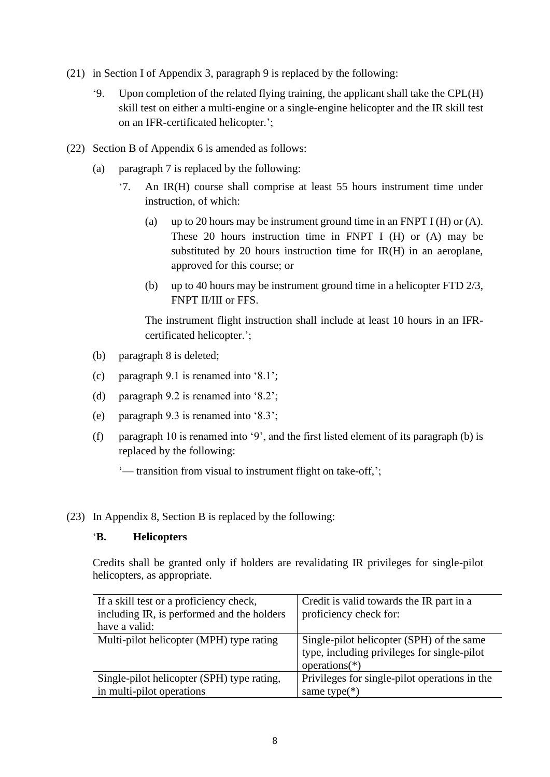- (21) in Section I of Appendix 3, paragraph 9 is replaced by the following:
	- '9. Upon completion of the related flying training, the applicant shall take the CPL(H) skill test on either a multi-engine or a single-engine helicopter and the IR skill test on an IFR-certificated helicopter.';
- (22) Section B of Appendix 6 is amended as follows:
	- (a) paragraph 7 is replaced by the following:
		- '7. An IR(H) course shall comprise at least 55 hours instrument time under instruction, of which:
			- (a) up to 20 hours may be instrument ground time in an FNPT I (H) or  $(A)$ . These 20 hours instruction time in FNPT I (H) or (A) may be substituted by 20 hours instruction time for IR(H) in an aeroplane, approved for this course; or
			- (b) up to 40 hours may be instrument ground time in a helicopter FTD 2/3, FNPT II/III or FFS.

The instrument flight instruction shall include at least 10 hours in an IFRcertificated helicopter.';

- (b) paragraph 8 is deleted;
- (c) paragraph 9.1 is renamed into '8.1';
- (d) paragraph 9.2 is renamed into '8.2';
- (e) paragraph 9.3 is renamed into '8.3';
- (f) paragraph 10 is renamed into '9', and the first listed element of its paragraph (b) is replaced by the following:

'— transition from visual to instrument flight on take-off,';

(23) In Appendix 8, Section B is replaced by the following:

## '**B. Helicopters**

Credits shall be granted only if holders are revalidating IR privileges for single-pilot helicopters, as appropriate.

| If a skill test or a proficiency check,    | Credit is valid towards the IR part in a      |  |  |
|--------------------------------------------|-----------------------------------------------|--|--|
| including IR, is performed and the holders | proficiency check for:                        |  |  |
| have a valid:                              |                                               |  |  |
| Multi-pilot helicopter (MPH) type rating   | Single-pilot helicopter (SPH) of the same     |  |  |
|                                            | type, including privileges for single-pilot   |  |  |
|                                            | $operations(*)$                               |  |  |
| Single-pilot helicopter (SPH) type rating, | Privileges for single-pilot operations in the |  |  |
| in multi-pilot operations                  | same type $(*)$                               |  |  |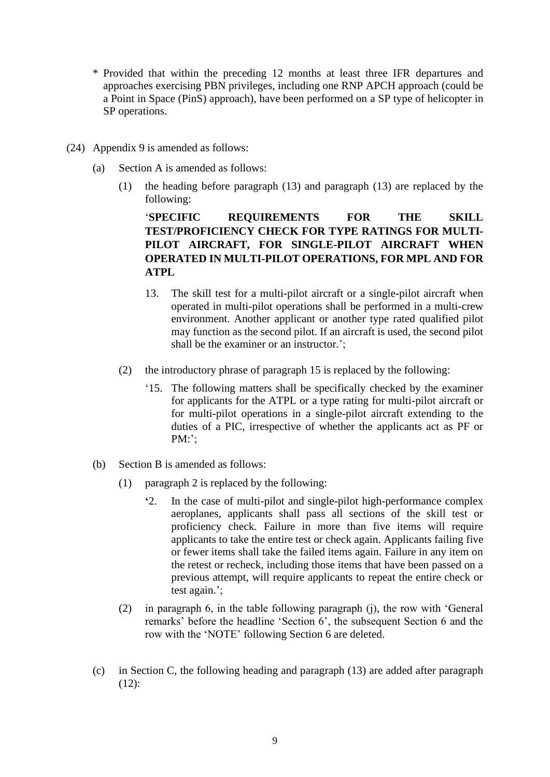- \* Provided that within the preceding 12 months at least three IFR departures and approaches exercising PBN privileges, including one RNP APCH approach (could be a Point in Space (PinS) approach), have been performed on a SP type of helicopter in SP operations.
- (24) Appendix 9 is amended as follows:
	- (a) Section A is amended as follows:
		- (1) the heading before paragraph (13) and paragraph (13) are replaced by the following:

## '**SPECIFIC REQUIREMENTS FOR THE SKILL TEST/PROFICIENCY CHECK FOR TYPE RATINGS FOR MULTI-PILOT AIRCRAFT, FOR SINGLE-PILOT AIRCRAFT WHEN OPERATED IN MULTI-PILOT OPERATIONS, FOR MPL AND FOR ATPL**

- 13. The skill test for a multi-pilot aircraft or a single-pilot aircraft when operated in multi-pilot operations shall be performed in a multi-crew environment. Another applicant or another type rated qualified pilot may function as the second pilot. If an aircraft is used, the second pilot shall be the examiner or an instructor.';
- (2) the introductory phrase of paragraph 15 is replaced by the following:
	- '15. The following matters shall be specifically checked by the examiner for applicants for the ATPL or a type rating for multi-pilot aircraft or for multi-pilot operations in a single-pilot aircraft extending to the duties of a PIC, irrespective of whether the applicants act as PF or PM:';
- (b) Section B is amended as follows:
	- (1) paragraph 2 is replaced by the following:
		- **'**2. In the case of multi-pilot and single-pilot high-performance complex aeroplanes, applicants shall pass all sections of the skill test or proficiency check. Failure in more than five items will require applicants to take the entire test or check again. Applicants failing five or fewer items shall take the failed items again. Failure in any item on the retest or recheck, including those items that have been passed on a previous attempt, will require applicants to repeat the entire check or test again.';
	- (2) in paragraph 6, in the table following paragraph (j), the row with 'General remarks' before the headline 'Section 6', the subsequent Section 6 and the row with the 'NOTE' following Section 6 are deleted.
- (c) in Section C, the following heading and paragraph (13) are added after paragraph (12):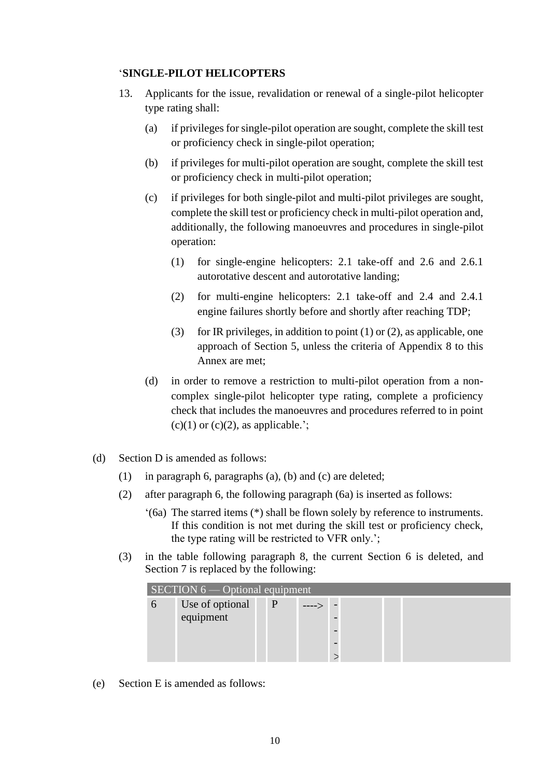## '**SINGLE-PILOT HELICOPTERS**

- 13. Applicants for the issue, revalidation or renewal of a single-pilot helicopter type rating shall:
	- (a) if privileges for single-pilot operation are sought, complete the skill test or proficiency check in single-pilot operation;
	- (b) if privileges for multi-pilot operation are sought, complete the skill test or proficiency check in multi-pilot operation;
	- (c) if privileges for both single-pilot and multi-pilot privileges are sought, complete the skill test or proficiency check in multi-pilot operation and, additionally, the following manoeuvres and procedures in single-pilot operation:
		- (1) for single-engine helicopters: 2.1 take-off and 2.6 and 2.6.1 autorotative descent and autorotative landing;
		- (2) for multi-engine helicopters: 2.1 take-off and 2.4 and 2.4.1 engine failures shortly before and shortly after reaching TDP;
		- (3) for IR privileges, in addition to point  $(1)$  or  $(2)$ , as applicable, one approach of Section 5, unless the criteria of Appendix 8 to this Annex are met;
	- (d) in order to remove a restriction to multi-pilot operation from a noncomplex single-pilot helicopter type rating, complete a proficiency check that includes the manoeuvres and procedures referred to in point  $(c)(1)$  or  $(c)(2)$ , as applicable.';
- (d) Section D is amended as follows:
	- (1) in paragraph 6, paragraphs (a), (b) and (c) are deleted;
	- (2) after paragraph 6, the following paragraph (6a) is inserted as follows:
		- '(6a) The starred items (\*) shall be flown solely by reference to instruments. If this condition is not met during the skill test or proficiency check, the type rating will be restricted to VFR only.';
	- (3) in the table following paragraph 8, the current Section 6 is deleted, and Section 7 is replaced by the following:

| $SECTION 6$ - Optional equipment |                 |   |  |  |  |  |  |
|----------------------------------|-----------------|---|--|--|--|--|--|
| $\sigma$                         | Use of optional | P |  |  |  |  |  |
|                                  | equipment       |   |  |  |  |  |  |
|                                  |                 |   |  |  |  |  |  |
|                                  |                 |   |  |  |  |  |  |
|                                  |                 |   |  |  |  |  |  |

(e) Section E is amended as follows: